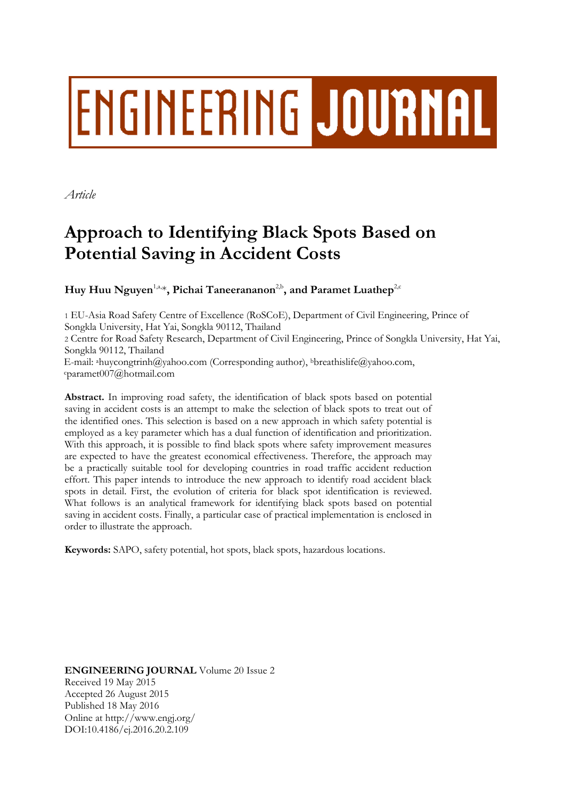# ENGINEERING JOURNAL

*Article*

# **Approach to Identifying Black Spots Based on Potential Saving in Accident Costs**

**Huy Huu Nguyen<sup>1,a,\*</sup>, Pichai Taneerananon<sup>2,b</sup>, and Paramet Luathep<sup>2,c</sup>** 

1 EU-Asia Road Safety Centre of Excellence (RoSCoE), Department of Civil Engineering, Prince of Songkla University, Hat Yai, Songkla 90112, Thailand

2 Centre for Road Safety Research, Department of Civil Engineering, Prince of Songkla University, Hat Yai, Songkla 90112, Thailand

E-mail: ahuycongtrinh@yahoo.com (Corresponding author), <sup>b</sup>[breathislife@yahoo.com,](mailto:bbreathislife@yahoo.com)  <sup>c</sup>[paramet007@hotmail.com](mailto:cbreathislife@yahoo.com)

**Abstract.** In improving road safety, the identification of black spots based on potential saving in accident costs is an attempt to make the selection of black spots to treat out of the identified ones. This selection is based on a new approach in which safety potential is employed as a key parameter which has a dual function of identification and prioritization. With this approach, it is possible to find black spots where safety improvement measures are expected to have the greatest economical effectiveness. Therefore, the approach may be a practically suitable tool for developing countries in road traffic accident reduction effort. This paper intends to introduce the new approach to identify road accident black spots in detail. First, the evolution of criteria for black spot identification is reviewed. What follows is an analytical framework for identifying black spots based on potential saving in accident costs. Finally, a particular case of practical implementation is enclosed in order to illustrate the approach.

**Keywords:** SAPO, safety potential, hot spots, black spots, hazardous locations.

**ENGINEERING JOURNAL** Volume 20 Issue 2 Received 19 May 2015 Accepted 26 August 2015 Published 18 May 2016 Online at http://www.engj.org/ DOI:10.4186/ej.2016.20.2.109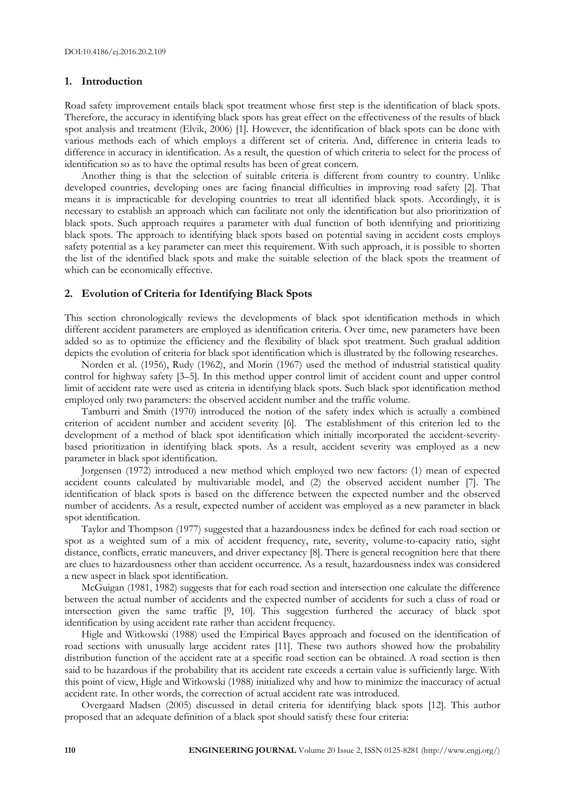### **1. Introduction**

Road safety improvement entails black spot treatment whose first step is the identification of black spots. Therefore, the accuracy in identifying black spots has great effect on the effectiveness of the results of black spot analysis and treatment (Elvik, 2006) [1]. However, the identification of black spots can be done with various methods each of which employs a different set of criteria. And, difference in criteria leads to difference in accuracy in identification. As a result, the question of which criteria to select for the process of identification so as to have the optimal results has been of great concern.

Another thing is that the selection of suitable criteria is different from country to country. Unlike developed countries, developing ones are facing financial difficulties in improving road safety [2]. That means it is impracticable for developing countries to treat all identified black spots. Accordingly, it is necessary to establish an approach which can facilitate not only the identification but also prioritization of black spots. Such approach requires a parameter with dual function of both identifying and prioritizing black spots. The approach to identifying black spots based on potential saving in accident costs employs safety potential as a key parameter can meet this requirement. With such approach, it is possible to shorten the list of the identified black spots and make the suitable selection of the black spots the treatment of which can be economically effective.

### **2. Evolution of Criteria for Identifying Black Spots**

This section chronologically reviews the developments of black spot identification methods in which different accident parameters are employed as identification criteria. Over time, new parameters have been added so as to optimize the efficiency and the flexibility of black spot treatment. Such gradual addition depicts the evolution of criteria for black spot identification which is illustrated by the following researches.

Norden et al. (1956), Rudy (1962), and Morin (1967) used the method of industrial statistical quality control for highway safety [3–5]. In this method upper control limit of accident count and upper control limit of accident rate were used as criteria in identifying black spots. Such black spot identification method employed only two parameters: the observed accident number and the traffic volume.

Tamburri and Smith (1970) introduced the notion of the safety index which is actually a combined criterion of accident number and accident severity [6]. The establishment of this criterion led to the development of a method of black spot identification which initially incorporated the accident-severitybased prioritization in identifying black spots. As a result, accident severity was employed as a new parameter in black spot identification.

Jorgensen (1972) introduced a new method which employed two new factors: (1) mean of expected accident counts calculated by multivariable model, and (2) the observed accident number [7]. The identification of black spots is based on the difference between the expected number and the observed number of accidents. As a result, expected number of accident was employed as a new parameter in black spot identification.

Taylor and Thompson (1977) suggested that a hazardousness index be defined for each road section or spot as a weighted sum of a mix of accident frequency, rate, severity, volume-to-capacity ratio, sight distance, conflicts, erratic maneuvers, and driver expectancy [8]. There is general recognition here that there are clues to hazardousness other than accident occurrence. As a result, hazardousness index was considered a new aspect in black spot identification.

McGuigan (1981, 1982) suggests that for each road section and intersection one calculate the difference between the actual number of accidents and the expected number of accidents for such a class of road or intersection given the same traffic [9, 10]. This suggestion furthered the accuracy of black spot identification by using accident rate rather than accident frequency.

Higle and Witkowski (1988) used the Empirical Bayes approach and focused on the identification of road sections with unusually large accident rates [11]. These two authors showed how the probability distribution function of the accident rate at a specific road section can be obtained. A road section is then said to be hazardous if the probability that its accident rate exceeds a certain value is sufficiently large. With this point of view, Higle and Witkowski (1988) initialized why and how to minimize the inaccuracy of actual accident rate. In other words, the correction of actual accident rate was introduced.

Overgaard Madsen (2005) discussed in detail criteria for identifying black spots [12]. This author proposed that an adequate definition of a black spot should satisfy these four criteria: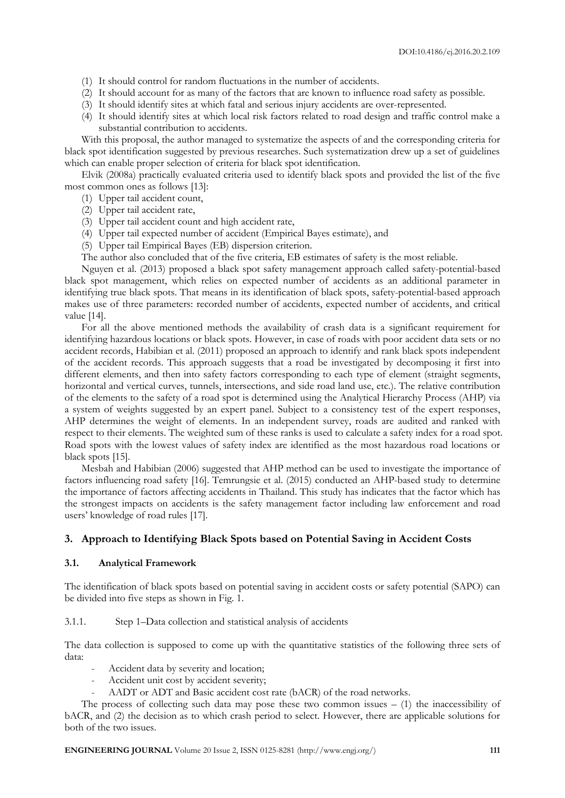- (1) It should control for random fluctuations in the number of accidents.
- (2) It should account for as many of the factors that are known to influence road safety as possible.
- (3) It should identify sites at which fatal and serious injury accidents are over-represented.
- (4) It should identify sites at which local risk factors related to road design and traffic control make a substantial contribution to accidents.

With this proposal, the author managed to systematize the aspects of and the corresponding criteria for black spot identification suggested by previous researches. Such systematization drew up a set of guidelines which can enable proper selection of criteria for black spot identification.

Elvik (2008a) practically evaluated criteria used to identify black spots and provided the list of the five most common ones as follows [13]:

- (1) Upper tail accident count,
- (2) Upper tail accident rate,
- (3) Upper tail accident count and high accident rate,
- (4) Upper tail expected number of accident (Empirical Bayes estimate), and
- (5) Upper tail Empirical Bayes (EB) dispersion criterion.
- The author also concluded that of the five criteria, EB estimates of safety is the most reliable.

Nguyen et al. (2013) proposed a black spot safety management approach called safety-potential-based black spot management, which relies on expected number of accidents as an additional parameter in identifying true black spots. That means in its identification of black spots, safety-potential-based approach makes use of three parameters: recorded number of accidents, expected number of accidents, and critical value [14].

For all the above mentioned methods the availability of crash data is a significant requirement for identifying hazardous locations or black spots. However, in case of roads with poor accident data sets or no accident records, Habibian et al. (2011) proposed an approach to identify and rank black spots independent of the accident records. This approach suggests that a road be investigated by decomposing it first into different elements, and then into safety factors corresponding to each type of element (straight segments, horizontal and vertical curves, tunnels, intersections, and side road land use, etc.). The relative contribution of the elements to the safety of a road spot is determined using the Analytical Hierarchy Process (AHP) via a system of weights suggested by an expert panel. Subject to a consistency test of the expert responses, AHP determines the weight of elements. In an independent survey, roads are audited and ranked with respect to their elements. The weighted sum of these ranks is used to calculate a safety index for a road spot. Road spots with the lowest values of safety index are identified as the most hazardous road locations or black spots [15].

Mesbah and Habibian (2006) suggested that AHP method can be used to investigate the importance of factors influencing road safety [16]. Temrungsie et al. (2015) conducted an AHP-based study to determine the importance of factors affecting accidents in Thailand. This study has indicates that the factor which has the strongest impacts on accidents is the safety management factor including law enforcement and road users' knowledge of road rules [17].

# **3. Approach to Identifying Black Spots based on Potential Saving in Accident Costs**

### **3.1. Analytical Framework**

The identification of black spots based on potential saving in accident costs or safety potential (SAPO) can be divided into five steps as shown in Fig. 1.

### 3.1.1. Step 1–Data collection and statistical analysis of accidents

The data collection is supposed to come up with the quantitative statistics of the following three sets of data:

- Accident data by severity and location;
- Accident unit cost by accident severity;
- AADT or ADT and Basic accident cost rate (bACR) of the road networks.

The process of collecting such data may pose these two common issues  $-$  (1) the inaccessibility of bACR, and (2) the decision as to which crash period to select. However, there are applicable solutions for both of the two issues.

**ENGINEERING JOURNAL** Volume 20 Issue 2, ISSN 0125-8281 (http://www.engj.org/) **111**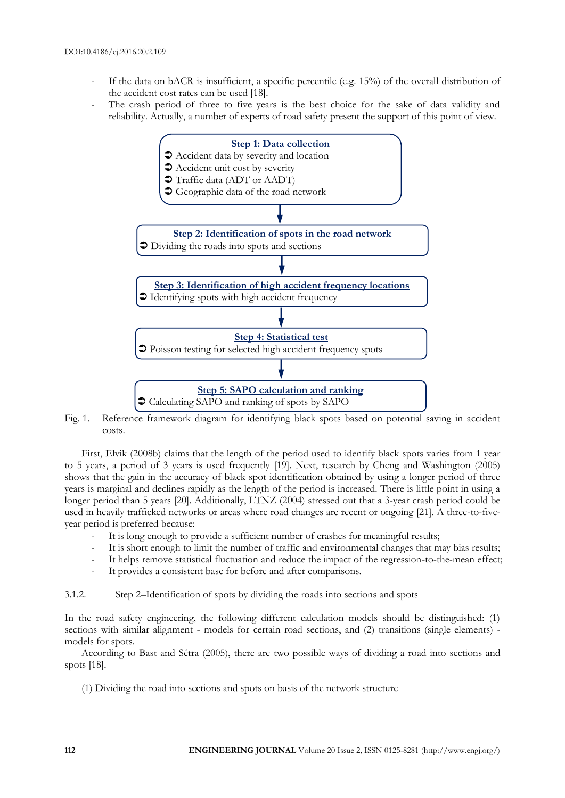- If the data on bACR is insufficient, a specific percentile (e.g.  $15\%$ ) of the overall distribution of the accident cost rates can be used [18].
- The crash period of three to five years is the best choice for the sake of data validity and reliability. Actually, a number of experts of road safety present the support of this point of view.



Fig. 1. Reference framework diagram for identifying black spots based on potential saving in accident costs.

First, Elvik (2008b) claims that the length of the period used to identify black spots varies from 1 year to 5 years, a period of 3 years is used frequently [19]. Next, research by Cheng and Washington (2005) shows that the gain in the accuracy of black spot identification obtained by using a longer period of three years is marginal and declines rapidly as the length of the period is increased. There is little point in using a longer period than 5 years [20]. Additionally, LTNZ (2004) stressed out that a 3-year crash period could be used in heavily trafficked networks or areas where road changes are recent or ongoing [21]. A three-to-fiveyear period is preferred because:

- It is long enough to provide a sufficient number of crashes for meaningful results;
- It is short enough to limit the number of traffic and environmental changes that may bias results;
- It helps remove statistical fluctuation and reduce the impact of the regression-to-the-mean effect;
- It provides a consistent base for before and after comparisons.

3.1.2. Step 2–Identification of spots by dividing the roads into sections and spots

In the road safety engineering, the following different calculation models should be distinguished: (1) sections with similar alignment - models for certain road sections, and (2) transitions (single elements) models for spots.

According to Bast and Sétra (2005), there are two possible ways of dividing a road into sections and spots [18].

(1) Dividing the road into sections and spots on basis of the network structure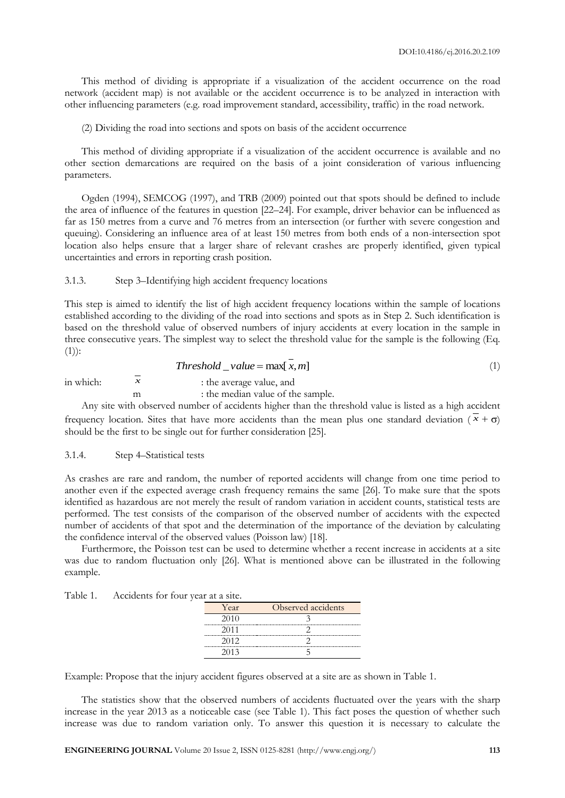This method of dividing is appropriate if a visualization of the accident occurrence on the road network (accident map) is not available or the accident occurrence is to be analyzed in interaction with other influencing parameters (e.g. road improvement standard, accessibility, traffic) in the road network.

(2) Dividing the road into sections and spots on basis of the accident occurrence

This method of dividing appropriate if a visualization of the accident occurrence is available and no other section demarcations are required on the basis of a joint consideration of various influencing parameters.

Ogden (1994), SEMCOG (1997), and TRB (2009) pointed out that spots should be defined to include the area of influence of the features in question [22–24]. For example, driver behavior can be influenced as far as 150 metres from a curve and 76 metres from an intersection (or further with severe congestion and queuing). Considering an influence area of at least 150 metres from both ends of a non-intersection spot location also helps ensure that a larger share of relevant crashes are properly identified, given typical uncertainties and errors in reporting crash position.

# 3.1.3. Step 3–Identifying high accident frequency locations

This step is aimed to identify the list of high accident frequency locations within the sample of locations established according to the dividing of the road into sections and spots as in Step 2. Such identification is based on the threshold value of observed numbers of injury accidents at every location in the sample in three consecutive years. The simplest way to select the threshold value for the sample is the following (Eq.  $(1)$ :

$$
Threshold\_value = \max[x, m]
$$
\n(1)

in which:  $\frac{1}{x}$ : the average value, and

m : the median value of the sample.

Any site with observed number of accidents higher than the threshold value is listed as a high accident frequency location. Sites that have more accidents than the mean plus one standard deviation ( $\bar{x} + \sigma$ ) should be the first to be single out for further consideration [25].

#### 3.1.4. Step 4–Statistical tests

As crashes are rare and random, the number of reported accidents will change from one time period to another even if the expected average crash frequency remains the same [26]. To make sure that the spots identified as hazardous are not merely the result of random variation in accident counts, statistical tests are performed. The test consists of the comparison of the observed number of accidents with the expected number of accidents of that spot and the determination of the importance of the deviation by calculating the confidence interval of the observed values (Poisson law) [18].

Furthermore, the Poisson test can be used to determine whether a recent increase in accidents at a site was due to random fluctuation only [26]. What is mentioned above can be illustrated in the following example.

| Table 1. Accidents for four year at a site. |      |                    |
|---------------------------------------------|------|--------------------|
|                                             | Year | Observed accidents |
|                                             |      |                    |
|                                             |      |                    |
|                                             |      |                    |
|                                             |      |                    |

Example: Propose that the injury accident figures observed at a site are as shown in Table 1.

The statistics show that the observed numbers of accidents fluctuated over the years with the sharp increase in the year 2013 as a noticeable case (see Table 1). This fact poses the question of whether such increase was due to random variation only. To answer this question it is necessary to calculate the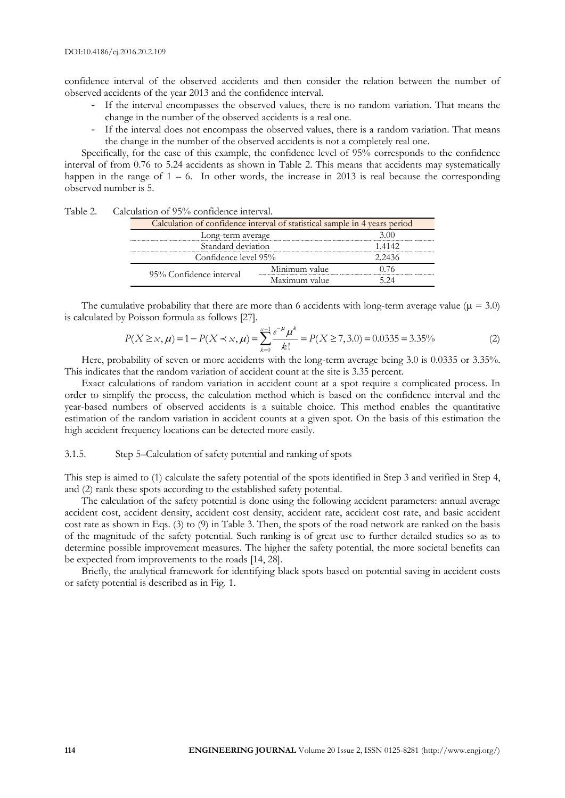confidence interval of the observed accidents and then consider the relation between the number of observed accidents of the year 2013 and the confidence interval.

- If the interval encompasses the observed values, there is no random variation. That means the change in the number of the observed accidents is a real one.
- If the interval does not encompass the observed values, there is a random variation. That means the change in the number of the observed accidents is not a completely real one.

Specifically, for the case of this example, the confidence level of 95% corresponds to the confidence interval of from 0.76 to 5.24 accidents as shown in Table 2. This means that accidents may systematically happen in the range of  $1 - 6$ . In other words, the increase in 2013 is real because the corresponding observed number is 5.

| Table 2. | Calculation of 95% confidence interval. |                                                                            |        |  |  |  |  |  |  |  |
|----------|-----------------------------------------|----------------------------------------------------------------------------|--------|--|--|--|--|--|--|--|
|          |                                         | Calculation of confidence interval of statistical sample in 4 years period |        |  |  |  |  |  |  |  |
|          | Long-term average                       |                                                                            | 300    |  |  |  |  |  |  |  |
|          | Standard deviation                      |                                                                            | -4142  |  |  |  |  |  |  |  |
|          | Confidence level 95%                    |                                                                            | ' 2436 |  |  |  |  |  |  |  |
|          | 95% Confidence interval                 | Minimum value                                                              |        |  |  |  |  |  |  |  |
|          |                                         | Maximum value                                                              |        |  |  |  |  |  |  |  |

is calculated by Poisson formula as follows [27].

The cumulative probability that there are more than 6 accidents with long-term average value (
$$
\mu = 3.0
$$
)  
lculated by Poisson formula as follows [27].  

$$
P(X \ge x, \mu) = 1 - P(X \prec x, \mu) = \sum_{k=0}^{x-1} \frac{e^{-\mu} \mu^k}{k!} = P(X \ge 7, 3.0) = 0.0335 = 3.35\%
$$
 (2)

Here, probability of seven or more accidents with the long-term average being 3.0 is 0.0335 or 3.35%. This indicates that the random variation of accident count at the site is 3.35 percent.

Exact calculations of random variation in accident count at a spot require a complicated process. In order to simplify the process, the calculation method which is based on the confidence interval and the year-based numbers of observed accidents is a suitable choice. This method enables the quantitative estimation of the random variation in accident counts at a given spot. On the basis of this estimation the high accident frequency locations can be detected more easily.

# 3.1.5. Step 5–Calculation of safety potential and ranking of spots

This step is aimed to (1) calculate the safety potential of the spots identified in Step 3 and verified in Step 4, and (2) rank these spots according to the established safety potential.

The calculation of the safety potential is done using the following accident parameters: annual average accident cost, accident density, accident cost density, accident rate, accident cost rate, and basic accident cost rate as shown in Eqs. (3) to (9) in Table 3. Then, the spots of the road network are ranked on the basis of the magnitude of the safety potential. Such ranking is of great use to further detailed studies so as to determine possible improvement measures. The higher the safety potential, the more societal benefits can be expected from improvements to the roads [14, 28].

Briefly, the analytical framework for identifying black spots based on potential saving in accident costs or safety potential is described as in Fig. 1.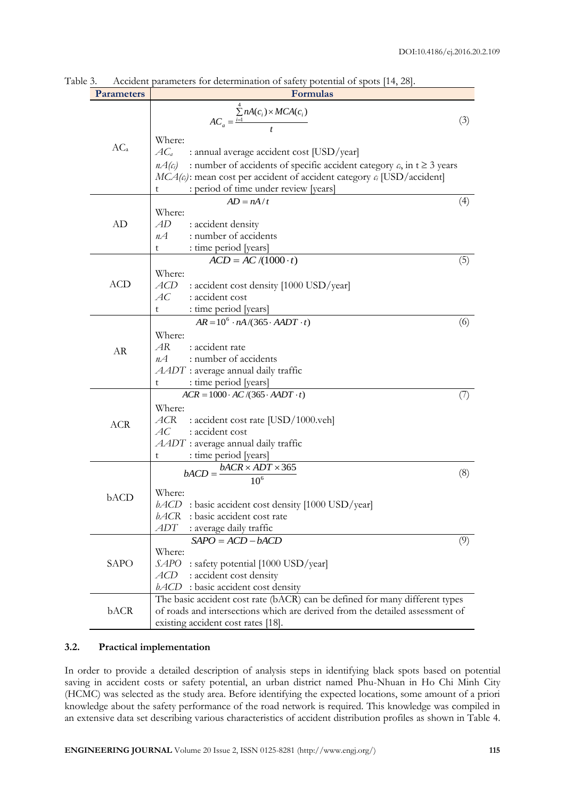| <b>Parameters</b> | Formulas                                                                                    |     |  |  |  |  |  |  |
|-------------------|---------------------------------------------------------------------------------------------|-----|--|--|--|--|--|--|
|                   |                                                                                             |     |  |  |  |  |  |  |
|                   | $AC_a = \frac{\sum_{i=1}^{n} nA(c_i) \times MCA(c_i)}{t}$                                   | (3) |  |  |  |  |  |  |
|                   | Where:                                                                                      |     |  |  |  |  |  |  |
| AC <sub>a</sub>   | $AC_a$<br>: annual average accident cost [USD/year]                                         |     |  |  |  |  |  |  |
|                   | $nA(c_i)$<br>: number of accidents of specific accident category $c_i$ , in $t \ge 3$ years |     |  |  |  |  |  |  |
|                   | $MCA(c_i)$ : mean cost per accident of accident category $c_i$ [USD/accident]               |     |  |  |  |  |  |  |
|                   | : period of time under review [years]<br>t                                                  |     |  |  |  |  |  |  |
|                   | $AD = nA/t$                                                                                 | (4) |  |  |  |  |  |  |
|                   | Where:                                                                                      |     |  |  |  |  |  |  |
| AD                | AD<br>: accident density                                                                    |     |  |  |  |  |  |  |
|                   | : number of accidents<br>$n\mathcal{A}$                                                     |     |  |  |  |  |  |  |
|                   | : time period [years]<br>t                                                                  |     |  |  |  |  |  |  |
|                   | $ACD = AC/(1000 \cdot t)$                                                                   | (5) |  |  |  |  |  |  |
|                   | Where:                                                                                      |     |  |  |  |  |  |  |
| <b>ACD</b>        | ACD<br>: accident cost density [1000 USD/year]                                              |     |  |  |  |  |  |  |
|                   | АC<br>: accident cost                                                                       |     |  |  |  |  |  |  |
|                   | : time period [years]<br>t                                                                  |     |  |  |  |  |  |  |
|                   | $AR = 10^6 \cdot nA/(365 \cdot AADT \cdot t)$                                               | (6) |  |  |  |  |  |  |
|                   | Where:<br>AR<br>: accident rate                                                             |     |  |  |  |  |  |  |
| AR                | : number of accidents<br>$n\mathcal{A}$                                                     |     |  |  |  |  |  |  |
|                   | $AADT$ : average annual daily traffic                                                       |     |  |  |  |  |  |  |
|                   | : time period [years]<br>t                                                                  |     |  |  |  |  |  |  |
|                   | $ACR = 1000 \cdot AC/(365 \cdot AADT \cdot t)$                                              | (7) |  |  |  |  |  |  |
|                   | Where:                                                                                      |     |  |  |  |  |  |  |
| <b>ACR</b>        | ACR<br>: accident cost rate [USD/1000.veh]                                                  |     |  |  |  |  |  |  |
|                   | АC<br>: accident cost                                                                       |     |  |  |  |  |  |  |
|                   | $AADT$ : average annual daily traffic                                                       |     |  |  |  |  |  |  |
|                   | : time period [years]<br>t                                                                  |     |  |  |  |  |  |  |
|                   | $bACR \times ADT \times 365$<br>$bACD =$                                                    | (8) |  |  |  |  |  |  |
|                   | 10 <sup>6</sup>                                                                             |     |  |  |  |  |  |  |
| bACD              | Where:                                                                                      |     |  |  |  |  |  |  |
|                   | $bACD$ : basic accident cost density [1000 USD/year]<br>bACR<br>: basic accident cost rate  |     |  |  |  |  |  |  |
|                   | ADT<br>: average daily traffic                                                              |     |  |  |  |  |  |  |
|                   | $SAPO = ACD - bACD$                                                                         | (9) |  |  |  |  |  |  |
|                   | Where:                                                                                      |     |  |  |  |  |  |  |
| SAPO              | SAPO : safety potential [1000 USD/year]                                                     |     |  |  |  |  |  |  |
|                   | ACD<br>: accident cost density                                                              |     |  |  |  |  |  |  |
|                   | $bACD$ : basic accident cost density                                                        |     |  |  |  |  |  |  |
|                   | The basic accident cost rate (bACR) can be defined for many different types                 |     |  |  |  |  |  |  |
| bACR              | of roads and intersections which are derived from the detailed assessment of                |     |  |  |  |  |  |  |
|                   | existing accident cost rates [18].                                                          |     |  |  |  |  |  |  |

Table 3. Accident parameters for determination of safety potential of spots [14, 28].

# **3.2. Practical implementation**

In order to provide a detailed description of analysis steps in identifying black spots based on potential saving in accident costs or safety potential, an urban district named Phu-Nhuan in Ho Chi Minh City (HCMC) was selected as the study area. Before identifying the expected locations, some amount of a priori knowledge about the safety performance of the road network is required. This knowledge was compiled in an extensive data set describing various characteristics of accident distribution profiles as shown in Table 4.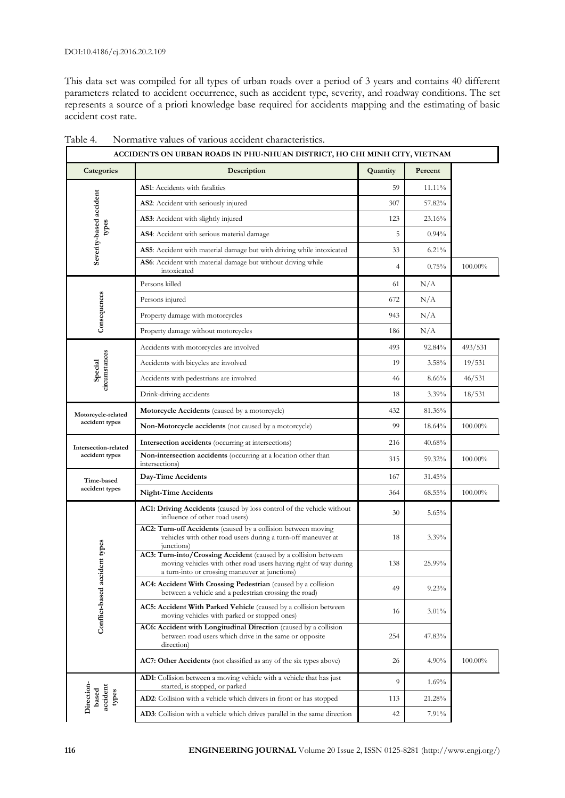This data set was compiled for all types of urban roads over a period of 3 years and contains 40 different parameters related to accident occurrence, such as accident type, severity, and roadway conditions. The set represents a source of a priori knowledge base required for accidents mapping and the estimating of basic accident cost rate.

| ACCIDENTS ON URBAN ROADS IN PHU-NHUAN DISTRICT, HO CHI MINH CITY, VIETNAM |                                                                                                                                                                                       |                |          |            |  |  |  |  |  |  |
|---------------------------------------------------------------------------|---------------------------------------------------------------------------------------------------------------------------------------------------------------------------------------|----------------|----------|------------|--|--|--|--|--|--|
| Categories                                                                | Description                                                                                                                                                                           | Quantity       | Percent  |            |  |  |  |  |  |  |
|                                                                           | AS1: Accidents with fatalities                                                                                                                                                        | 59             | 11.11%   |            |  |  |  |  |  |  |
|                                                                           | AS2: Accident with seriously injured                                                                                                                                                  | 307            | 57.82%   |            |  |  |  |  |  |  |
| Severity-based accident                                                   | AS3: Accident with slightly injured                                                                                                                                                   | 123            | 23.16%   |            |  |  |  |  |  |  |
| types                                                                     | AS4: Accident with serious material damage                                                                                                                                            | 5              | 0.94%    |            |  |  |  |  |  |  |
|                                                                           | AS5: Accident with material damage but with driving while intoxicated                                                                                                                 | 33             | 6.21%    |            |  |  |  |  |  |  |
|                                                                           | AS6: Accident with material damage but without driving while<br>intoxicated                                                                                                           | $\overline{4}$ | 0.75%    | 100.00%    |  |  |  |  |  |  |
|                                                                           | Persons killed                                                                                                                                                                        | 61             | N/A      |            |  |  |  |  |  |  |
| Consequences                                                              | Persons injured                                                                                                                                                                       | 672            | N/A      |            |  |  |  |  |  |  |
|                                                                           | Property damage with motorcycles                                                                                                                                                      | 943            | N/A      |            |  |  |  |  |  |  |
|                                                                           | Property damage without motorcycles                                                                                                                                                   | 186            | N/A      |            |  |  |  |  |  |  |
|                                                                           | Accidents with motorcycles are involved                                                                                                                                               | 493            | 92.84%   | 493/531    |  |  |  |  |  |  |
| circumstances                                                             | Accidents with bicycles are involved                                                                                                                                                  | 19             | 3.58%    | 19/531     |  |  |  |  |  |  |
| Special                                                                   | Accidents with pedestrians are involved                                                                                                                                               | 46             | 8.66%    | 46/531     |  |  |  |  |  |  |
|                                                                           | Drink-driving accidents                                                                                                                                                               | 18             | $3.39\%$ | 18/531     |  |  |  |  |  |  |
| Motorcycle-related                                                        | Motorcycle Accidents (caused by a motorcycle)                                                                                                                                         | 432            | 81.36%   |            |  |  |  |  |  |  |
| accident types                                                            | Non-Motorcycle accidents (not caused by a motorcycle)                                                                                                                                 | 99             | 18.64%   | 100.00%    |  |  |  |  |  |  |
| Intersection-related                                                      | Intersection accidents (occurring at intersections)                                                                                                                                   | 216            | 40.68%   |            |  |  |  |  |  |  |
| accident types                                                            | Non-intersection accidents (occurring at a location other than<br>intersections)                                                                                                      | 315            | 59.32%   | $100.00\%$ |  |  |  |  |  |  |
| Time-based                                                                | Day-Time Accidents                                                                                                                                                                    | 167            | 31.45%   |            |  |  |  |  |  |  |
| accident types                                                            | <b>Night-Time Accidents</b>                                                                                                                                                           | 364            | 68.55%   | $100.00\%$ |  |  |  |  |  |  |
|                                                                           | AC1: Driving Accidents (caused by loss control of the vehicle without<br>influence of other road users)                                                                               | 30             | 5.65%    |            |  |  |  |  |  |  |
|                                                                           | AC2: Turn-off Accidents (caused by a collision between moving<br>vehicles with other road users during a turn-off maneuver at<br>junctions)                                           | 18             | 3.39%    |            |  |  |  |  |  |  |
| ent types                                                                 | AC3: Turn-into/Crossing Accident (caused by a collision between<br>moving vehicles with other road users having right of way during<br>a turn-into or crossing maneuver at junctions) | 138            | 25.99%   |            |  |  |  |  |  |  |
| Conflict-based accid                                                      | AC4: Accident With Crossing Pedestrian (caused by a collision<br>between a vehicle and a pedestrian crossing the road)                                                                | 49             | 9.23%    |            |  |  |  |  |  |  |
|                                                                           | AC5: Accident With Parked Vehicle (caused by a collision between<br>moving vehicles with parked or stopped ones)                                                                      | 16             | $3.01\%$ |            |  |  |  |  |  |  |
|                                                                           | AC6: Accident with Longitudinal Direction (caused by a collision<br>between road users which drive in the same or opposite<br>direction)                                              | 254            | 47.83%   |            |  |  |  |  |  |  |
|                                                                           | AC7: Other Accidents (not classified as any of the six types above)                                                                                                                   | 26             | 4.90%    | 100.00%    |  |  |  |  |  |  |
|                                                                           | AD1: Collision between a moving vehicle with a vehicle that has just<br>started, is stopped, or parked                                                                                | 9              | 1.69%    |            |  |  |  |  |  |  |
| Direction-<br>accident<br>based<br>types                                  | AD2: Collision with a vehicle which drivers in front or has stopped                                                                                                                   | 113            | 21.28%   |            |  |  |  |  |  |  |
|                                                                           | AD3: Collision with a vehicle which drives parallel in the same direction                                                                                                             | 42             | 7.91%    |            |  |  |  |  |  |  |

Table 4. Normative values of various accident characteristics.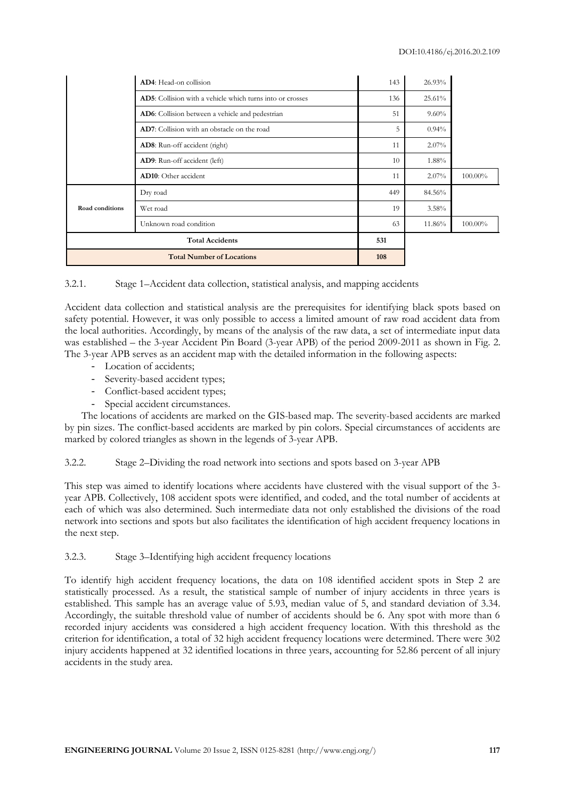|                 | AD4: Head-on collision                                            | 143 | 26.93%   |         |
|-----------------|-------------------------------------------------------------------|-----|----------|---------|
|                 | <b>AD5</b> : Collision with a vehicle which turns into or crosses | 136 | 25.61%   |         |
|                 | AD6: Collision between a vehicle and pedestrian                   | 51  | $9.60\%$ |         |
|                 | AD7: Collision with an obstacle on the road                       | 5   | 0.94%    |         |
|                 | AD8: Run-off accident (right)                                     | 11  | 2.07%    |         |
|                 | AD9: Run-off accident (left)                                      | 10  | 1.88%    |         |
|                 | <b>AD10:</b> Other accident                                       | 11  | $2.07\%$ | 100.00% |
|                 | Dry road                                                          | 449 | 84.56%   |         |
| Road conditions | Wet road                                                          | 19  | 3.58%    |         |
|                 | Unknown road condition                                            | 63  | 11.86%   | 100.00% |
|                 | <b>Total Accidents</b>                                            | 531 |          |         |
|                 | <b>Total Number of Locations</b>                                  | 108 |          |         |

# 3.2.1. Stage 1–Accident data collection, statistical analysis, and mapping accidents

Accident data collection and statistical analysis are the prerequisites for identifying black spots based on safety potential. However, it was only possible to access a limited amount of raw road accident data from the local authorities. Accordingly, by means of the analysis of the raw data, a set of intermediate input data was established – the 3-year Accident Pin Board (3-year APB) of the period 2009-2011 as shown in Fig. 2. The 3-year APB serves as an accident map with the detailed information in the following aspects:

- Location of accidents;
- Severity-based accident types;
- Conflict-based accident types;
- Special accident circumstances.

The locations of accidents are marked on the GIS-based map. The severity-based accidents are marked by pin sizes. The conflict-based accidents are marked by pin colors. Special circumstances of accidents are marked by colored triangles as shown in the legends of 3-year APB.

# 3.2.2. Stage 2–Dividing the road network into sections and spots based on 3-year APB

This step was aimed to identify locations where accidents have clustered with the visual support of the 3 year APB. Collectively, 108 accident spots were identified, and coded, and the total number of accidents at each of which was also determined. Such intermediate data not only established the divisions of the road network into sections and spots but also facilitates the identification of high accident frequency locations in the next step.

# 3.2.3. Stage 3–Identifying high accident frequency locations

To identify high accident frequency locations, the data on 108 identified accident spots in Step 2 are statistically processed. As a result, the statistical sample of number of injury accidents in three years is established. This sample has an average value of 5.93, median value of 5, and standard deviation of 3.34. Accordingly, the suitable threshold value of number of accidents should be 6. Any spot with more than 6 recorded injury accidents was considered a high accident frequency location. With this threshold as the criterion for identification, a total of 32 high accident frequency locations were determined. There were 302 injury accidents happened at 32 identified locations in three years, accounting for 52.86 percent of all injury accidents in the study area.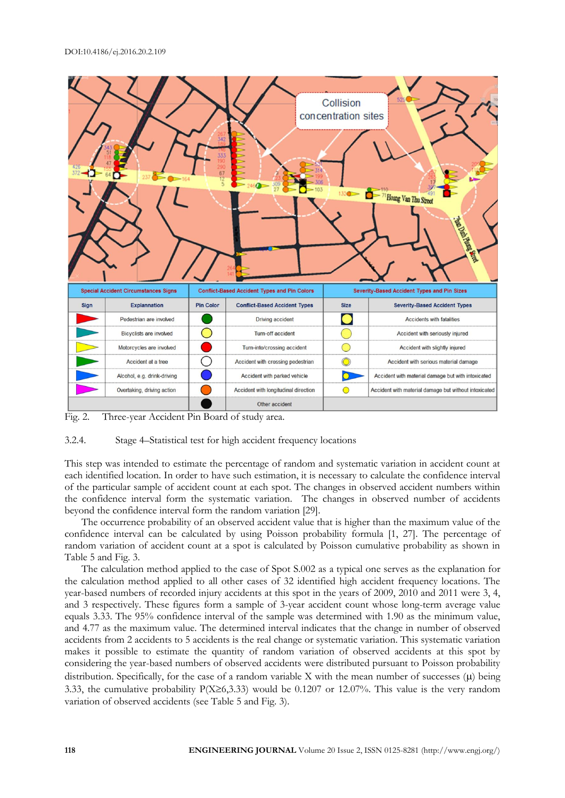

Fig. 2. Three-year Accident Pin Board of study area.

### 3.2.4. Stage 4–Statistical test for high accident frequency locations

This step was intended to estimate the percentage of random and systematic variation in accident count at each identified location. In order to have such estimation, it is necessary to calculate the confidence interval of the particular sample of accident count at each spot. The changes in observed accident numbers within the confidence interval form the systematic variation. The changes in observed number of accidents beyond the confidence interval form the random variation [29].

The occurrence probability of an observed accident value that is higher than the maximum value of the confidence interval can be calculated by using Poisson probability formula [1, 27]. The percentage of random variation of accident count at a spot is calculated by Poisson cumulative probability as shown in Table 5 and Fig. 3.

The calculation method applied to the case of Spot S.002 as a typical one serves as the explanation for the calculation method applied to all other cases of 32 identified high accident frequency locations. The year-based numbers of recorded injury accidents at this spot in the years of 2009, 2010 and 2011 were 3, 4, and 3 respectively. These figures form a sample of 3-year accident count whose long-term average value equals 3.33. The 95% confidence interval of the sample was determined with 1.90 as the minimum value, and 4.77 as the maximum value. The determined interval indicates that the change in number of observed accidents from 2 accidents to 5 accidents is the real change or systematic variation. This systematic variation makes it possible to estimate the quantity of random variation of observed accidents at this spot by considering the year-based numbers of observed accidents were distributed pursuant to Poisson probability distribution. Specifically, for the case of a random variable  $X$  with the mean number of successes  $(\mu)$  being 3.33, the cumulative probability  $P(X\geq 6,3.33)$  would be 0.1207 or 12.07%. This value is the very random variation of observed accidents (see Table 5 and Fig. 3).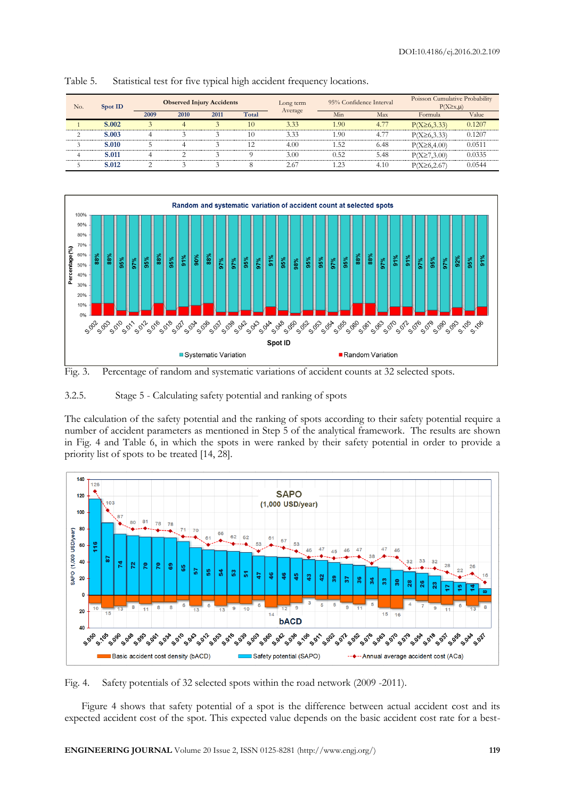| No.    | Spot ID      |      | <b>Observed Injury Accidents</b> |      |       | Long term |        | 95% Confidence Interval | Poisson Cumulative Probability<br>$P(X \geq x, \mu)$ |        |
|--------|--------------|------|----------------------------------|------|-------|-----------|--------|-------------------------|------------------------------------------------------|--------|
|        |              | 2009 | 2010                             | 2011 | Total | Average   | Min    | Max                     | Formula                                              | Value  |
|        | S.002        |      |                                  |      | 10    | 3.33      | 1.90   | 4.77                    | $P(X\geq 6,3.33)$                                    | 0.1207 |
| $\sim$ | <b>S.003</b> |      |                                  |      | 10    | 3.33      | .90    | 4.77                    | $P(X\geq 6,3.33)$                                    | 0.1207 |
|        | <b>S.010</b> |      |                                  |      | 12    | 4.00      | . . 52 | 6.48                    | $P(X \ge 8, 4.00)$                                   | 0.0511 |
|        | S.011        |      | ◠                                |      |       | 3.00      | 0.52   | 5.48                    | $P(X \ge 7, 3.00)$                                   | 0.0335 |
|        | S.012        |      |                                  |      |       | 2.67      | .23    | 4.10                    | $P(X \ge 6, 2.67)$                                   | 0.0544 |

Table 5. Statistical test for five typical high accident frequency locations.



Fig. 3. Percentage of random and systematic variations of accident counts at 32 selected spots.

3.2.5. Stage 5 - Calculating safety potential and ranking of spots

The calculation of the safety potential and the ranking of spots according to their safety potential require a number of accident parameters as mentioned in Step 5 of the analytical framework. The results are shown in Fig. 4 and Table 6, in which the spots in were ranked by their safety potential in order to provide a priority list of spots to be treated [14, 28].



Fig. 4. Safety potentials of 32 selected spots within the road network (2009 -2011).

Figure 4 shows that safety potential of a spot is the difference between actual accident cost and its expected accident cost of the spot. This expected value depends on the basic accident cost rate for a best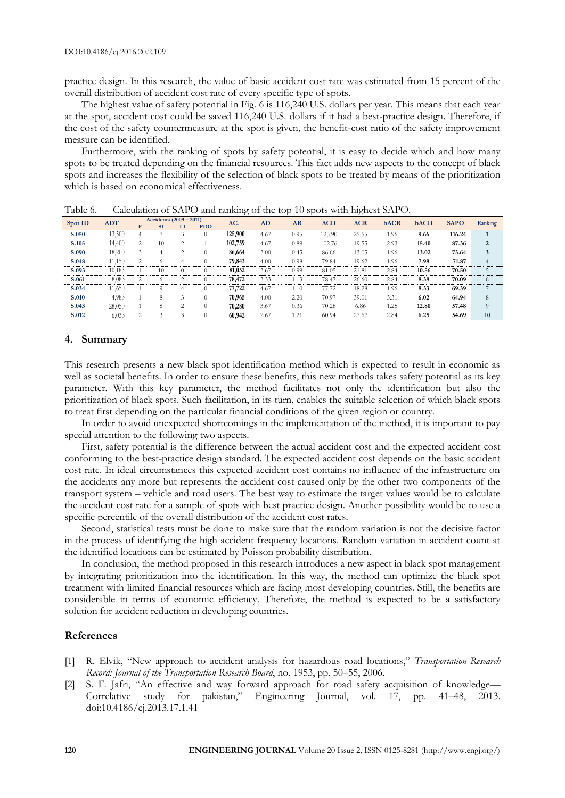practice design. In this research, the value of basic accident cost rate was estimated from 15 percent of the overall distribution of accident cost rate of every specific type of spots.

The highest value of safety potential in Fig. 6 is 116,240 U.S. dollars per year. This means that each year at the spot, accident cost could be saved 116,240 U.S. dollars if it had a best-practice design. Therefore, if the cost of the safety countermeasure at the spot is given, the benefit-cost ratio of the safety improvement measure can be identified.

Furthermore, with the ranking of spots by safety potential, it is easy to decide which and how many spots to be treated depending on the financial resources. This fact adds new aspects to the concept of black spots and increases the flexibility of the selection of black spots to be treated by means of the prioritization which is based on economical effectiveness.

|         | <b>ADT</b> |                | Accidents (2009 – 2011) |          |            | AD<br>AC <sub>a</sub> |      | <b>ACD</b><br>AR | <b>ACR</b> | <b>bACR</b> | <b>bACD</b> | <b>SAPO</b> | Ranking |          |
|---------|------------|----------------|-------------------------|----------|------------|-----------------------|------|------------------|------------|-------------|-------------|-------------|---------|----------|
| Spot ID |            |                | <b>SI</b>               | LI       | <b>PDO</b> |                       |      |                  |            |             |             |             |         |          |
| S.050   | 13.500     | Δ              |                         |          |            | 125,900               | 4.67 | 0.95             | 125.90     | 25.55       | 1.96        | 9.66        | 116.24  |          |
| S.105   | 14.400     | $\overline{c}$ | 10                      | 2        |            | 102,759               | 4.67 | 0.89             | 102.76     | 19.55       | 2.93        | 15.40       | 87.36   | 2        |
| S.090   | 18.200     |                | 4                       | 2        | 0          | 86,664                | 3.00 | 0.45             | 86.66      | 13.05       | 1.96        | 13.02       | 73.64   | 3        |
| S.048   | 11.150     |                | $\Omega$                | 4        |            | 79,843                | 4.00 | 0.98             | 79.84      | 19.62       | 1.96        | 7.98        | 71.87   |          |
| S.093   | 10.183     |                | 10                      | $\theta$ | $\theta$   | 81,052                | 3.67 | 0.99             | 81.05      | 21.81       | 2.84        | 10.56       | 70.50   |          |
| S.061   | 8,083      | $\overline{c}$ | $\Omega$                | 2        | U          | 78,472                | 3.33 | 1.13             | 78.47      | 26.60       | 2.84        | 8.38        | 70.09   | $\Omega$ |
| S.034   | 11.650     |                |                         | 4        |            | 77,722                | 4.67 | 1.10             | 77.72      | 18.28       | 1.96        | 8.33        | 69.39   |          |
| S.010   | 4,983      |                |                         | 3        | U          | 70,965                | 4.00 | 2.20             | 70.97      | 39.01       | 3.31        | 6.02        | 64.94   | 8        |
| S.043   | 28,050     |                |                         | っ        |            | 70,280                | 3.67 | 0.36             | 70.28      | 6.86        | 1.25        | 12.80       | 57.48   | $\Omega$ |
| S.012   | 6,033      |                |                         | ٩        |            | 60,942                | 2.67 | 1.21             | 60.94      | 27.67       | 2.84        | 6.25        | 54.69   | 10       |

Table 6. Calculation of SAPO and ranking of the top 10 spots with highest SAPO.

### **4. Summary**

This research presents a new black spot identification method which is expected to result in economic as well as societal benefits. In order to ensure these benefits, this new methods takes safety potential as its key parameter. With this key parameter, the method facilitates not only the identification but also the prioritization of black spots. Such facilitation, in its turn, enables the suitable selection of which black spots to treat first depending on the particular financial conditions of the given region or country.

In order to avoid unexpected shortcomings in the implementation of the method, it is important to pay special attention to the following two aspects.

First, safety potential is the difference between the actual accident cost and the expected accident cost conforming to the best-practice design standard. The expected accident cost depends on the basic accident cost rate. In ideal circumstances this expected accident cost contains no influence of the infrastructure on the accidents any more but represents the accident cost caused only by the other two components of the transport system – vehicle and road users. The best way to estimate the target values would be to calculate the accident cost rate for a sample of spots with best practice design. Another possibility would be to use a specific percentile of the overall distribution of the accident cost rates.

Second, statistical tests must be done to make sure that the random variation is not the decisive factor in the process of identifying the high accident frequency locations. Random variation in accident count at the identified locations can be estimated by Poisson probability distribution.

In conclusion, the method proposed in this research introduces a new aspect in black spot management by integrating prioritization into the identification. In this way, the method can optimize the black spot treatment with limited financial resources which are facing most developing countries. Still, the benefits are considerable in terms of economic efficiency. Therefore, the method is expected to be a satisfactory solution for accident reduction in developing countries.

#### **References**

- [1] R. Elvik, "New approach to accident analysis for hazardous road locations," *Transportation Research Record: Journal of the Transportation Research Board*, no. 1953, pp. 50–55, 2006.
- [2] S. F. Jafri, "An effective and way forward approach for road safety acquisition of knowledge— Correlative study for pakistan," Engineering Journal, vol. 17, pp. 41–48, 2013. doi:10.4186/ej.2013.17.1.41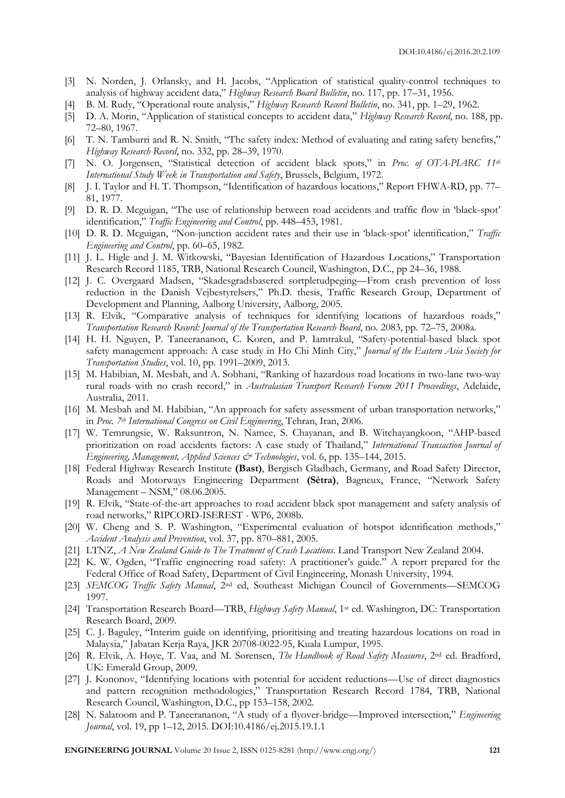- [3] N. Norden, J. Orlansky, and H. Jacobs, "Application of statistical quality-control techniques to analysis of highway accident data," *Highway Research Board Bulletin*, no. 117, pp. 17–31, 1956.
- [4] B. M. Rudy, "Operational route analysis," *Highway Research Record Bulletin*, no. 341, pp. 1–29, 1962.
- [5] D. A. Morin, "Application of statistical concepts to accident data," *Highway Research Record*, no. 188, pp. 72–80, 1967.
- [6] T. N. Tamburri and R. N. Smith, "The safety index: Method of evaluating and rating safety benefits," *Highway Research Record*, no. 332, pp. 28–39, 1970.
- [7] N. O. Jorgensen, "Statistical detection of accident black spots," in *Proc. of OTA-PIARC 11th International Study Week in Transportation and Safety*, Brussels, Belgium, 1972.
- [8] J. I. Taylor and H. T. Thompson, "Identification of hazardous locations," Report FHWA-RD, pp. 77– 81, 1977.
- [9] D. R. D. Mcguigan, "The use of relationship between road accidents and traffic flow in 'black-spot' identification," *Traffic Engineering and Control*, pp. 448–453, 1981.
- [10] D. R. D. Mcguigan, "Non-junction accident rates and their use in 'black-spot' identification," *Traffic Engineering and Control*, pp. 60–65, 1982.
- [11] J. L. Higle and J. M. Witkowski, "Bayesian Identification of Hazardous Locations," Transportation Research Record 1185, TRB, National Research Council, Washington, D.C., pp 24–36, 1988.
- [12] J. C. Overgaard Madsen, "Skadesgradsbasered sortpletudpeging—From crash prevention of loss reduction in the Danish Vejbestyrelsers," Ph.D. thesis, Traffic Research Group, Department of Development and Planning, Aalborg University, Aalborg, 2005.
- [13] R. Elvik, "Comparative analysis of techniques for identifying locations of hazardous roads," *Transportation Research Record: Journal of the Transportation Research Board*, no. 2083, pp. 72–75, 2008a.
- [14] H. H. Nguyen, P. Taneerananon, C. Koren, and P. Iamtrakul, "Safety-potential-based black spot safety management approach: A case study in Ho Chi Minh City," *Journal of the Eastern Asia Society for Transportation Studies*, vol. 10, pp. 1991–2009, 2013.
- [15] M. Habibian, M. Mesbah, and A. Sobhani, "Ranking of hazardous road locations in two-lane two-way rural roads with no crash record," in *Australasian Transport Research Forum 2011 Proceedings*, Adelaide, Australia, 2011.
- [16] M. Mesbah and M. Habibian, "An approach for safety assessment of urban transportation networks," in *Proc. 7th International Congress on Civil Engineering*, Tehran, Iran, 2006.
- [17] W. Temrungsie, W. Raksuntron, N. Namee, S. Chayanan, and B. Witchayangkoon, "AHP-based prioritization on road accidents factors: A case study of Thailand," *International Transaction Journal of Engineering, Management, Applied Sciences & Technologies*, vol. 6, pp. 135–144, 2015.
- [18] Federal Highway Research Institute **(Bast)**, Bergisch Gladbach, Germany, and Road Safety Director, Roads and Motorways Engineering Department **(Sétra)**, Bagneux, France, "Network Safety Management – NSM," 08.06.2005.
- [19] R. Elvik, "State-of-the-art approaches to road accident black spot management and safety analysis of road networks," RIPCORD-ISEREST - WP6, 2008b.
- [20] W. Cheng and S. P. Washington, "Experimental evaluation of hotspot identification methods," *Accident Analysis and Prevention*, vol. 37, pp. 870–881, [2005.](http://dx.doi.org/10.1016/j.aap.2005.04.015)
- [21] LTNZ, *A New Zealand Guide to The Treatment of Crash Locations*. Land Transport New Zealand 2004.
- [22] K. W. Ogden, "Traffic engineering road safety: A practitioner's guide." A report prepared for the Federal Office of Road Safety, Department of Civil Engineering, Monash University, 1994.
- [23] *SEMCOG Traffic Safety Manual*, 2nd ed, Southeast Michigan Council of Governments—SEMCOG 1997.
- [24] Transportation Research Board—TRB, *Highway Safety Manual*, 1st ed. Washington, DC: Transportation Research Board, 2009.
- [25] C. J. Baguley, "Interim guide on identifying, prioritising and treating hazardous locations on road in Malaysia," Jabatan Kerja Raya, JKR 20708-0022-95, Kuala Lumpur, 1995.
- [26] R. Elvik, A. Høye, T. Vaa, and M. Sørensen, *The Handbook of Road Safety Measures*, 2nd ed. Bradford, UK: Emerald Group, 2009.
- [27] J. Kononov, "Identifying locations with potential for accident reductions—Use of direct diagnostics and pattern recognition methodologies," Transportation Research Record 1784, TRB, National Research Council, Washington, D.C., pp 153–158, 2002.
- [28] N. Salatoom and P. Taneerananon, "A study of a flyover-bridge—Improved intersection," *Engineering Journal*, vol. 19, pp 1–12, 2015. DOI:10.4186/ej.2015.19.1.1

**ENGINEERING JOURNAL** Volume 20 Issue 2, ISSN 0125-8281 (http://www.engj.org/) **121**